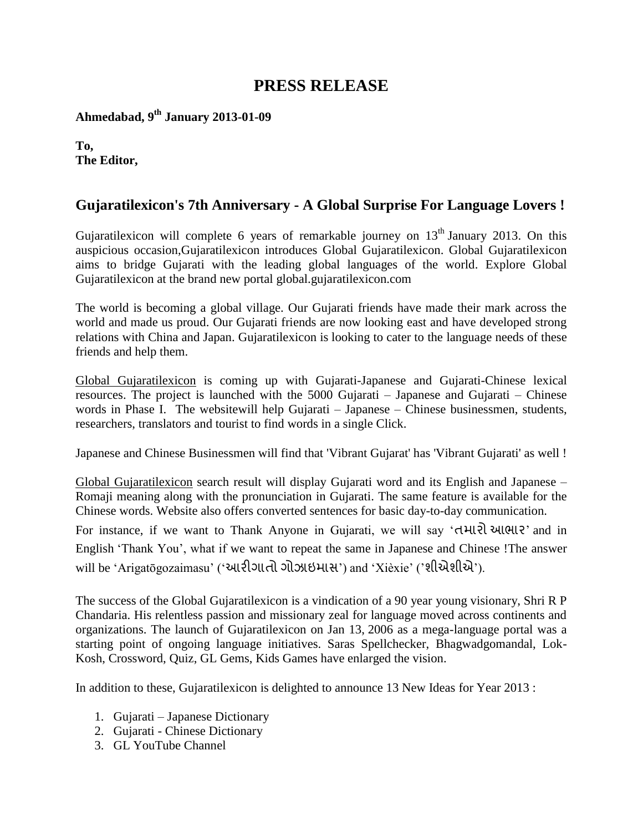## **PRESS RELEASE**

**Ahmedabad, 9th January 2013-01-09**

**To, The Editor,**

## **Gujaratilexicon's 7th Anniversary - A Global Surprise For Language Lovers !**

Gujaratilexicon will complete 6 years of remarkable journey on  $13<sup>th</sup>$  January 2013. On this auspicious occasion,Gujaratilexicon introduces Global Gujaratilexicon. Global Gujaratilexicon aims to bridge Gujarati with the leading global languages of the world. Explore Global Gujaratilexicon at the brand new portal global.gujaratilexicon.com

The world is becoming a global village. Our Gujarati friends have made their mark across the world and made us proud. Our Gujarati friends are now looking east and have developed strong relations with China and Japan. Gujaratilexicon is looking to cater to the language needs of these friends and help them.

Global Gujaratilexicon is coming up with Gujarati-Japanese and Gujarati-Chinese lexical resources. The project is launched with the 5000 Gujarati – Japanese and Gujarati – Chinese words in Phase I. The websitewill help Gujarati – Japanese – Chinese businessmen, students, researchers, translators and tourist to find words in a single Click.

Japanese and Chinese Businessmen will find that 'Vibrant Gujarat' has 'Vibrant Gujarati' as well !

Global Gujaratilexicon search result will display Gujarati word and its English and Japanese – Romaji meaning along with the pronunciation in Gujarati. The same feature is available for the Chinese words. Website also offers converted sentences for basic day-to-day communication.

For instance, if we want to Thank Anyone in Gujarati, we will say 'તમારો આભાર' and in English 'Thank You', what if we want to repeat the same in Japanese and Chinese !The answer will be 'Arigatōgozaimasu' ('આરીગાતો ગોઝાઇમાસ') and 'Xièxie' ('શીએશીએ').

The success of the Global Gujaratilexicon is a vindication of a 90 year young visionary, Shri R P Chandaria. His relentless passion and missionary zeal for language moved across continents and organizations. The launch of Gujaratilexicon on Jan 13, 2006 as a mega-language portal was a starting point of ongoing language initiatives. Saras Spellchecker, Bhagwadgomandal, Lok-Kosh, Crossword, Quiz, GL Gems, Kids Games have enlarged the vision.

In addition to these, Gujaratilexicon is delighted to announce 13 New Ideas for Year 2013 :

- 1. Gujarati Japanese Dictionary
- 2. Gujarati Chinese Dictionary
- 3. GL YouTube Channel